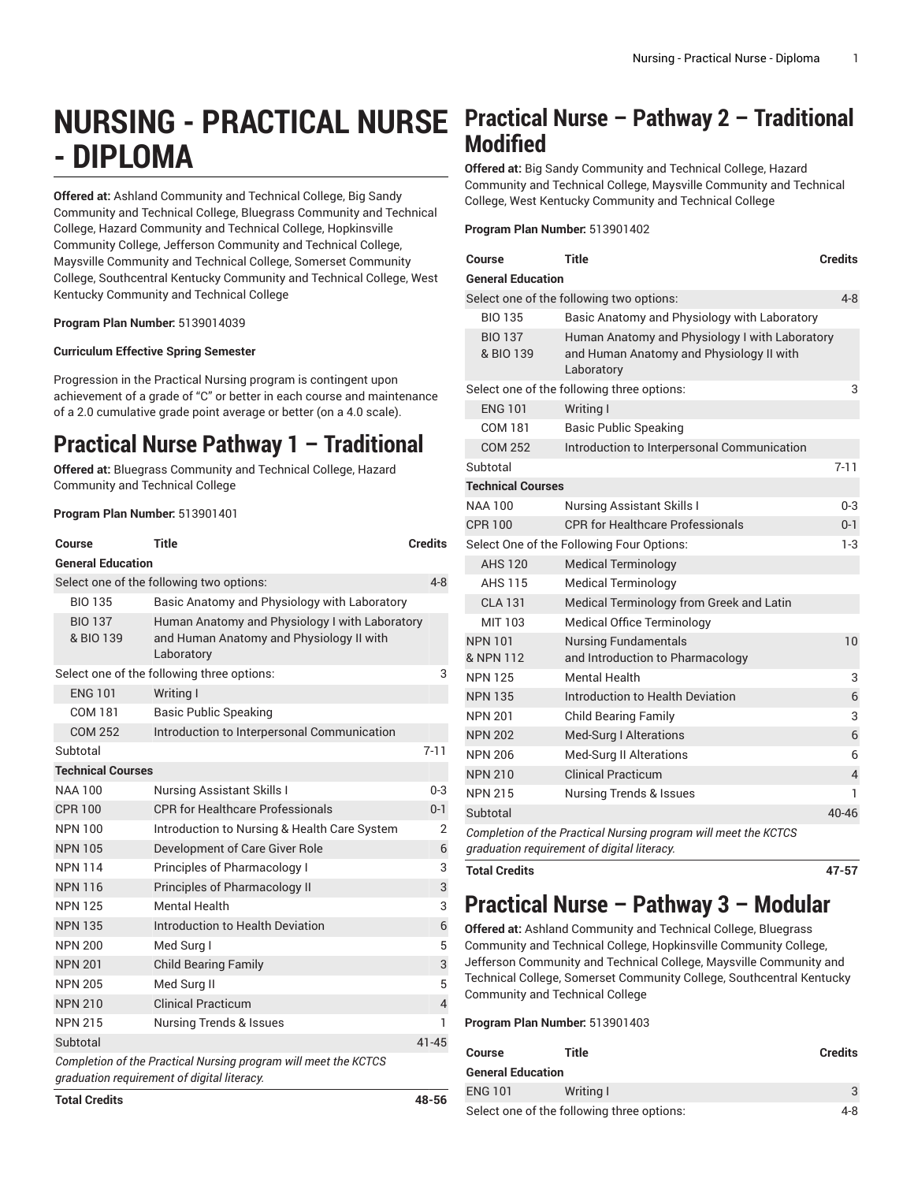# **NURSING - PRACTICAL NURSE - DIPLOMA**

**Offered at:** Ashland Community and Technical College, Big Sandy Community and Technical College, Bluegrass Community and Technical College, Hazard Community and Technical College, Hopkinsville Community College, Jefferson Community and Technical College, Maysville Community and Technical College, Somerset Community College, Southcentral Kentucky Community and Technical College, West Kentucky Community and Technical College

**Program Plan Number:** 5139014039

### **Curriculum Effective Spring Semester**

Progression in the Practical Nursing program is contingent upon achievement of a grade of "C" or better in each course and maintenance of a 2.0 cumulative grade point average or better (on a 4.0 scale).

## **Practical Nurse Pathway 1 – Traditional**

**Offered at:** Bluegrass Community and Technical College, Hazard Community and Technical College

## **Program Plan Number:** 513901401

| Course                                          | Title                                                                                                          | <b>Credits</b> |  |  |  |
|-------------------------------------------------|----------------------------------------------------------------------------------------------------------------|----------------|--|--|--|
| <b>General Education</b>                        |                                                                                                                |                |  |  |  |
|                                                 | Select one of the following two options:                                                                       | $4 - 8$        |  |  |  |
| <b>BIO 135</b>                                  | Basic Anatomy and Physiology with Laboratory                                                                   |                |  |  |  |
| <b>BIO 137</b><br>& BIO 139                     | Human Anatomy and Physiology I with Laboratory<br>and Human Anatomy and Physiology II with<br>Laboratory       |                |  |  |  |
| Select one of the following three options:<br>3 |                                                                                                                |                |  |  |  |
| <b>ENG 101</b>                                  | Writing I                                                                                                      |                |  |  |  |
| <b>COM 181</b>                                  | <b>Basic Public Speaking</b>                                                                                   |                |  |  |  |
| <b>COM 252</b>                                  | Introduction to Interpersonal Communication                                                                    |                |  |  |  |
| Subtotal                                        |                                                                                                                | $7 - 11$       |  |  |  |
| <b>Technical Courses</b>                        |                                                                                                                |                |  |  |  |
| <b>NAA 100</b>                                  | <b>Nursing Assistant Skills I</b>                                                                              | $0 - 3$        |  |  |  |
| <b>CPR 100</b>                                  | <b>CPR for Healthcare Professionals</b>                                                                        | $0 - 1$        |  |  |  |
| <b>NPN 100</b>                                  | Introduction to Nursing & Health Care System                                                                   | 2              |  |  |  |
| <b>NPN 105</b>                                  | Development of Care Giver Role                                                                                 | 6              |  |  |  |
| <b>NPN 114</b>                                  | Principles of Pharmacology I                                                                                   | 3              |  |  |  |
| <b>NPN 116</b>                                  | Principles of Pharmacology II                                                                                  | 3              |  |  |  |
| <b>NPN 125</b>                                  | <b>Mental Health</b>                                                                                           | 3              |  |  |  |
| <b>NPN 135</b>                                  | Introduction to Health Deviation                                                                               | 6              |  |  |  |
| <b>NPN 200</b>                                  | Med Surg I                                                                                                     | 5              |  |  |  |
| <b>NPN 201</b>                                  | <b>Child Bearing Family</b>                                                                                    | 3              |  |  |  |
| <b>NPN 205</b>                                  | Med Surg II                                                                                                    | 5              |  |  |  |
| <b>NPN 210</b>                                  | <b>Clinical Practicum</b>                                                                                      | $\sqrt{4}$     |  |  |  |
| <b>NPN 215</b>                                  | <b>Nursing Trends &amp; Issues</b>                                                                             | 1              |  |  |  |
| Subtotal                                        |                                                                                                                | $41 - 45$      |  |  |  |
|                                                 | Completion of the Practical Nursing program will meet the KCTCS<br>graduation requirement of digital literacy. |                |  |  |  |

## **Practical Nurse – Pathway 2 – Traditional Modified**

**Offered at:** Big Sandy Community and Technical College, Hazard Community and Technical College, Maysville Community and Technical College, West Kentucky Community and Technical College

### **Program Plan Number:** 513901402

| Course                      | <b>Title</b>                                                                                                   | <b>Credits</b> |
|-----------------------------|----------------------------------------------------------------------------------------------------------------|----------------|
| <b>General Education</b>    |                                                                                                                |                |
|                             | Select one of the following two options:                                                                       | $4 - 8$        |
| <b>BIO 135</b>              | Basic Anatomy and Physiology with Laboratory                                                                   |                |
| <b>BIO 137</b><br>& BIO 139 | Human Anatomy and Physiology I with Laboratory<br>and Human Anatomy and Physiology II with<br>Laboratory       |                |
|                             | Select one of the following three options:                                                                     | 3              |
| <b>ENG 101</b>              | Writing I                                                                                                      |                |
| COM 181                     | <b>Basic Public Speaking</b>                                                                                   |                |
| <b>COM 252</b>              | Introduction to Interpersonal Communication                                                                    |                |
| Subtotal                    |                                                                                                                | $7 - 11$       |
| <b>Technical Courses</b>    |                                                                                                                |                |
| <b>NAA 100</b>              | <b>Nursing Assistant Skills I</b>                                                                              | $0 - 3$        |
| <b>CPR 100</b>              | <b>CPR for Healthcare Professionals</b>                                                                        | $0 - 1$        |
|                             | Select One of the Following Four Options:                                                                      | $1-3$          |
| <b>AHS 120</b>              | <b>Medical Terminology</b>                                                                                     |                |
| AHS 115                     | <b>Medical Terminology</b>                                                                                     |                |
| <b>CLA 131</b>              | Medical Terminology from Greek and Latin                                                                       |                |
| MIT 103                     | <b>Medical Office Terminology</b>                                                                              |                |
| <b>NPN 101</b><br>& NPN 112 | <b>Nursing Fundamentals</b><br>and Introduction to Pharmacology                                                | 10             |
| <b>NPN 125</b>              | Mental Health                                                                                                  | 3              |
| <b>NPN 135</b>              | Introduction to Health Deviation                                                                               | 6              |
| <b>NPN 201</b>              | <b>Child Bearing Family</b>                                                                                    | 3              |
| <b>NPN 202</b>              | Med-Surg I Alterations                                                                                         | 6              |
| <b>NPN 206</b>              | Med-Surg II Alterations                                                                                        | 6              |
| <b>NPN 210</b>              | <b>Clinical Practicum</b>                                                                                      | $\overline{4}$ |
| <b>NPN 215</b>              | <b>Nursing Trends &amp; Issues</b>                                                                             | 1              |
| Subtotal                    |                                                                                                                | $40 - 46$      |
|                             | Completion of the Practical Nursing program will meet the KCTCS<br>graduation requirement of digital literacy. |                |

**Total Credits 47-57**

## **Practical Nurse – Pathway 3 – Modular**

**Offered at:** Ashland Community and Technical College, Bluegrass Community and Technical College, Hopkinsville Community College, Jefferson Community and Technical College, Maysville Community and Technical College, Somerset Community College, Southcentral Kentucky Community and Technical College

### **Program Plan Number:** 513901403

| Course                                     | Title     | <b>Credits</b> |
|--------------------------------------------|-----------|----------------|
| <b>General Education</b>                   |           |                |
| <b>ENG 101</b>                             | Writing I |                |
| Select one of the following three options: |           | 4-8            |